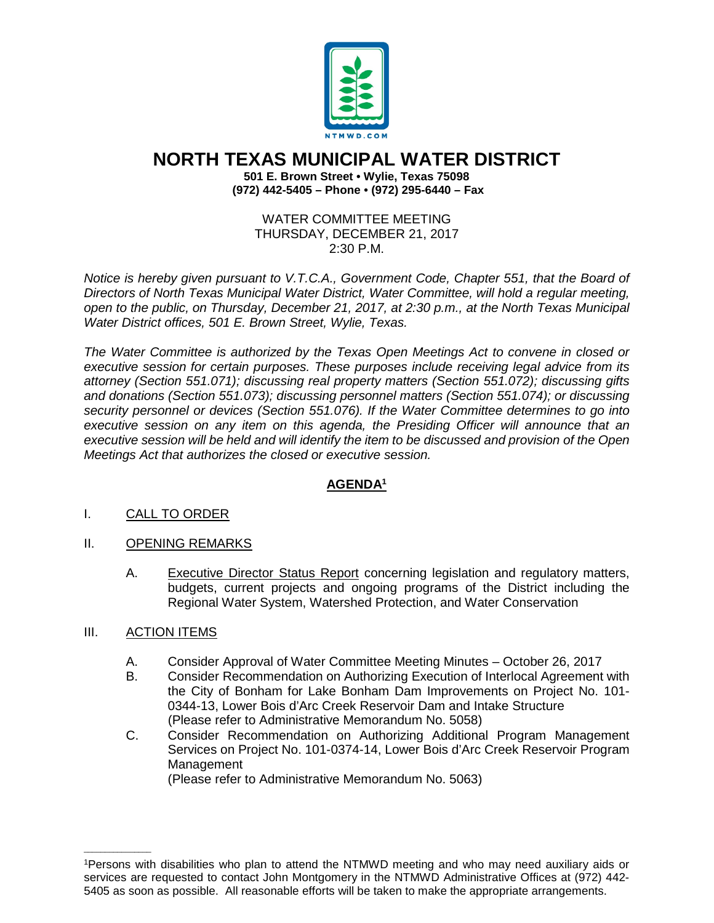

## **NORTH TEXAS MUNICIPAL WATER DISTRICT**

**501 E. Brown Street • Wylie, Texas 75098 (972) 442-5405 – Phone • (972) 295-6440 – Fax**

WATER COMMITTEE MEETING THURSDAY, DECEMBER 21, 2017 2:30 P.M.

*Notice is hereby given pursuant to V.T.C.A., Government Code, Chapter 551, that the Board of Directors of North Texas Municipal Water District, Water Committee, will hold a regular meeting, open to the public, on Thursday, December 21, 2017, at 2:30 p.m., at the North Texas Municipal Water District offices, 501 E. Brown Street, Wylie, Texas.*

*The Water Committee is authorized by the Texas Open Meetings Act to convene in closed or executive session for certain purposes. These purposes include receiving legal advice from its attorney (Section 551.071); discussing real property matters (Section 551.072); discussing gifts and donations (Section 551.073); discussing personnel matters (Section 551.074); or discussing security personnel or devices (Section 551.076). If the Water Committee determines to go into executive session on any item on this agenda, the Presiding Officer will announce that an executive session will be held and will identify the item to be discussed and provision of the Open Meetings Act that authorizes the closed or executive session.*

## **AGENDA1**

## I. CALL TO ORDER

- II. OPENING REMARKS
	- A. Executive Director Status Report concerning legislation and regulatory matters, budgets, current projects and ongoing programs of the District including the Regional Water System, Watershed Protection, and Water Conservation
- III. ACTION ITEMS

\_\_\_\_\_\_\_\_\_\_\_\_\_\_\_\_

- A. Consider Approval of Water Committee Meeting Minutes October 26, 2017
- B. Consider Recommendation on Authorizing Execution of Interlocal Agreement with the City of Bonham for Lake Bonham Dam Improvements on Project No. 101- 0344-13, Lower Bois d'Arc Creek Reservoir Dam and Intake Structure (Please refer to Administrative Memorandum No. 5058)
- C. Consider Recommendation on Authorizing Additional Program Management Services on Project No. 101-0374-14, Lower Bois d'Arc Creek Reservoir Program **Management**

(Please refer to Administrative Memorandum No. 5063)

<sup>1</sup>Persons with disabilities who plan to attend the NTMWD meeting and who may need auxiliary aids or services are requested to contact John Montgomery in the NTMWD Administrative Offices at (972) 442- 5405 as soon as possible. All reasonable efforts will be taken to make the appropriate arrangements.